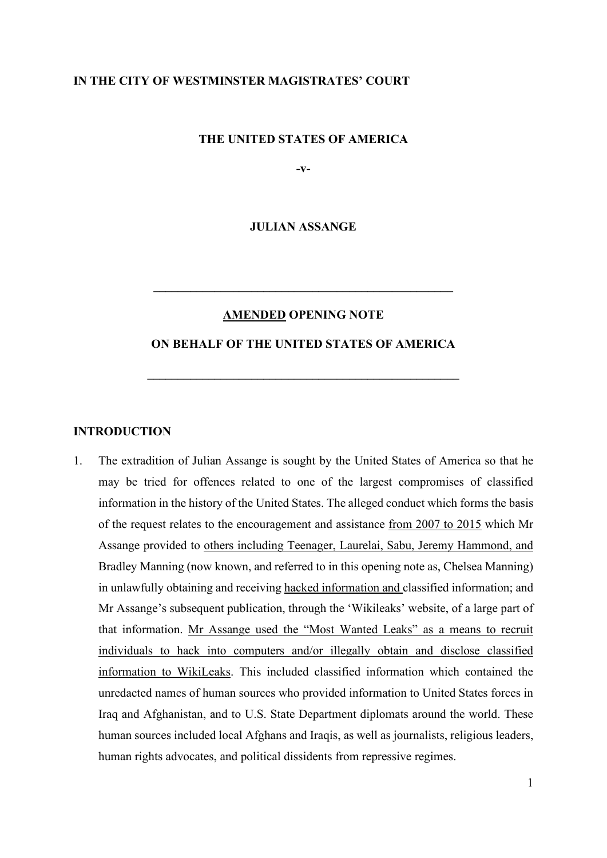### **IN THE CITY OF WESTMINSTER MAGISTRATES' COURT**

### **THE UNITED STATES OF AMERICA**

**-v-**

**JULIAN ASSANGE**

#### **AMENDED OPENING NOTE**

**\_\_\_\_\_\_\_\_\_\_\_\_\_\_\_\_\_\_\_\_\_\_\_\_\_\_\_\_\_\_\_\_\_\_\_\_\_\_\_\_\_\_\_\_\_\_\_\_\_**

### **ON BEHALF OF THE UNITED STATES OF AMERICA**

**\_\_\_\_\_\_\_\_\_\_\_\_\_\_\_\_\_\_\_\_\_\_\_\_\_\_\_\_\_\_\_\_\_\_\_\_\_\_\_\_\_\_\_\_\_\_\_\_\_\_\_**

### **INTRODUCTION**

1. The extradition of Julian Assange is sought by the United States of America so that he may be tried for offences related to one of the largest compromises of classified information in the history of the United States. The alleged conduct which forms the basis of the request relates to the encouragement and assistance from 2007 to 2015 which Mr Assange provided to others including Teenager, Laurelai, Sabu, Jeremy Hammond, and Bradley Manning (now known, and referred to in this opening note as, Chelsea Manning) in unlawfully obtaining and receiving hacked information and classified information; and Mr Assange's subsequent publication, through the 'Wikileaks' website, of a large part of that information. Mr Assange used the "Most Wanted Leaks" as a means to recruit individuals to hack into computers and/or illegally obtain and disclose classified information to WikiLeaks. This included classified information which contained the unredacted names of human sources who provided information to United States forces in Iraq and Afghanistan, and to U.S. State Department diplomats around the world. These human sources included local Afghans and Iraqis, as well as journalists, religious leaders, human rights advocates, and political dissidents from repressive regimes.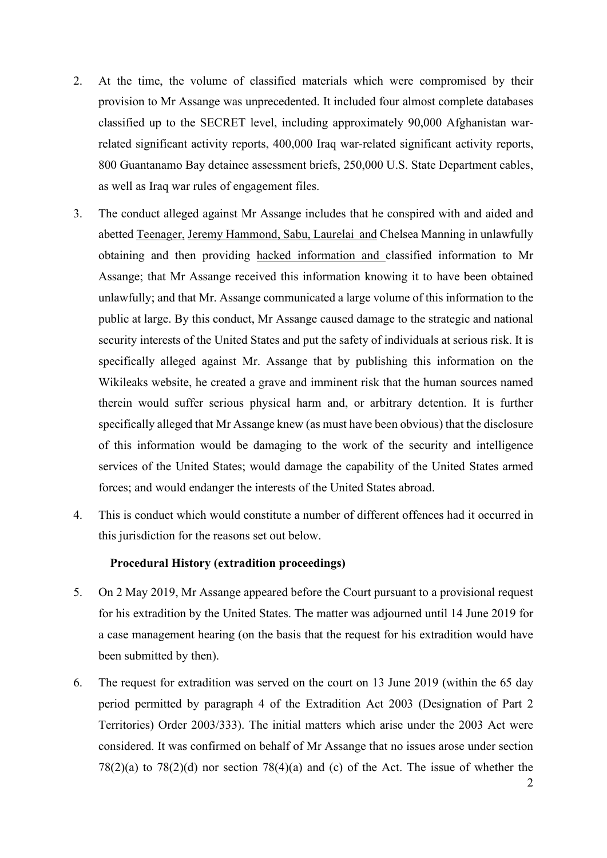- 2. At the time, the volume of classified materials which were compromised by their provision to Mr Assange was unprecedented. It included four almost complete databases classified up to the SECRET level, including approximately 90,000 Afghanistan warrelated significant activity reports, 400,000 Iraq war-related significant activity reports, 800 Guantanamo Bay detainee assessment briefs, 250,000 U.S. State Department cables, as well as Iraq war rules of engagement files.
- 3. The conduct alleged against Mr Assange includes that he conspired with and aided and abetted Teenager, Jeremy Hammond, Sabu, Laurelai and Chelsea Manning in unlawfully obtaining and then providing hacked information and classified information to Mr Assange; that Mr Assange received this information knowing it to have been obtained unlawfully; and that Mr. Assange communicated a large volume of this information to the public at large. By this conduct, Mr Assange caused damage to the strategic and national security interests of the United States and put the safety of individuals at serious risk. It is specifically alleged against Mr. Assange that by publishing this information on the Wikileaks website, he created a grave and imminent risk that the human sources named therein would suffer serious physical harm and, or arbitrary detention. It is further specifically alleged that Mr Assange knew (as must have been obvious) that the disclosure of this information would be damaging to the work of the security and intelligence services of the United States; would damage the capability of the United States armed forces; and would endanger the interests of the United States abroad.
- 4. This is conduct which would constitute a number of different offences had it occurred in this jurisdiction for the reasons set out below.

### **Procedural History (extradition proceedings)**

- 5. On 2 May 2019, Mr Assange appeared before the Court pursuant to a provisional request for his extradition by the United States. The matter was adjourned until 14 June 2019 for a case management hearing (on the basis that the request for his extradition would have been submitted by then).
- 6. The request for extradition was served on the court on 13 June 2019 (within the 65 day period permitted by paragraph 4 of the Extradition Act 2003 (Designation of Part 2 Territories) Order 2003/333). The initial matters which arise under the 2003 Act were considered. It was confirmed on behalf of Mr Assange that no issues arose under section  $78(2)(a)$  to  $78(2)(d)$  nor section  $78(4)(a)$  and (c) of the Act. The issue of whether the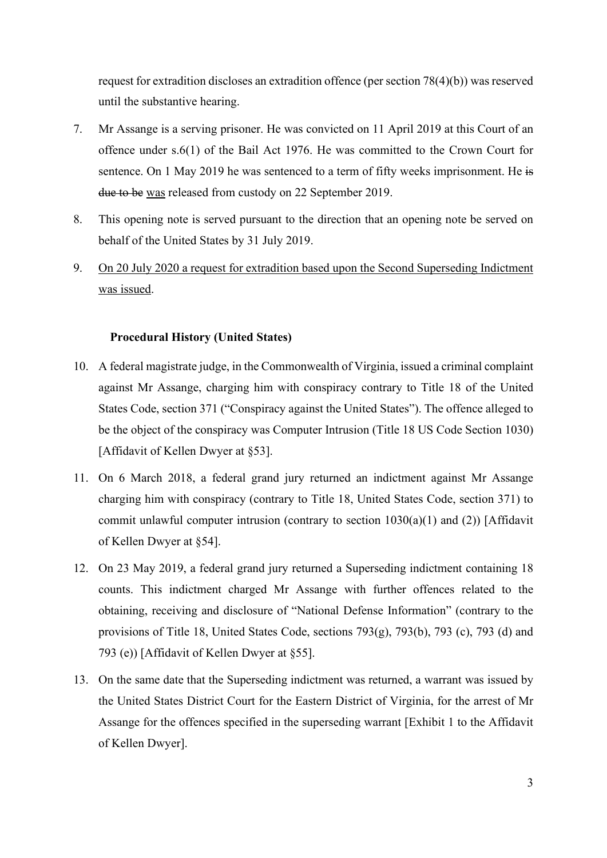request for extradition discloses an extradition offence (per section 78(4)(b)) was reserved until the substantive hearing.

- 7. Mr Assange is a serving prisoner. He was convicted on 11 April 2019 at this Court of an offence under s.6(1) of the Bail Act 1976. He was committed to the Crown Court for sentence. On 1 May 2019 he was sentenced to a term of fifty weeks imprisonment. He is due to be was released from custody on 22 September 2019.
- 8. This opening note is served pursuant to the direction that an opening note be served on behalf of the United States by 31 July 2019.
- 9. On 20 July 2020 a request for extradition based upon the Second Superseding Indictment was issued.

### **Procedural History (United States)**

- 10. A federal magistrate judge, in the Commonwealth of Virginia, issued a criminal complaint against Mr Assange, charging him with conspiracy contrary to Title 18 of the United States Code, section 371 ("Conspiracy against the United States"). The offence alleged to be the object of the conspiracy was Computer Intrusion (Title 18 US Code Section 1030) [Affidavit of Kellen Dwyer at §53].
- 11. On 6 March 2018, a federal grand jury returned an indictment against Mr Assange charging him with conspiracy (contrary to Title 18, United States Code, section 371) to commit unlawful computer intrusion (contrary to section  $1030(a)(1)$  and (2)) [Affidavit of Kellen Dwyer at §54].
- 12. On 23 May 2019, a federal grand jury returned a Superseding indictment containing 18 counts. This indictment charged Mr Assange with further offences related to the obtaining, receiving and disclosure of "National Defense Information" (contrary to the provisions of Title 18, United States Code, sections 793(g), 793(b), 793 (c), 793 (d) and 793 (e)) [Affidavit of Kellen Dwyer at §55].
- 13. On the same date that the Superseding indictment was returned, a warrant was issued by the United States District Court for the Eastern District of Virginia, for the arrest of Mr Assange for the offences specified in the superseding warrant [Exhibit 1 to the Affidavit of Kellen Dwyer].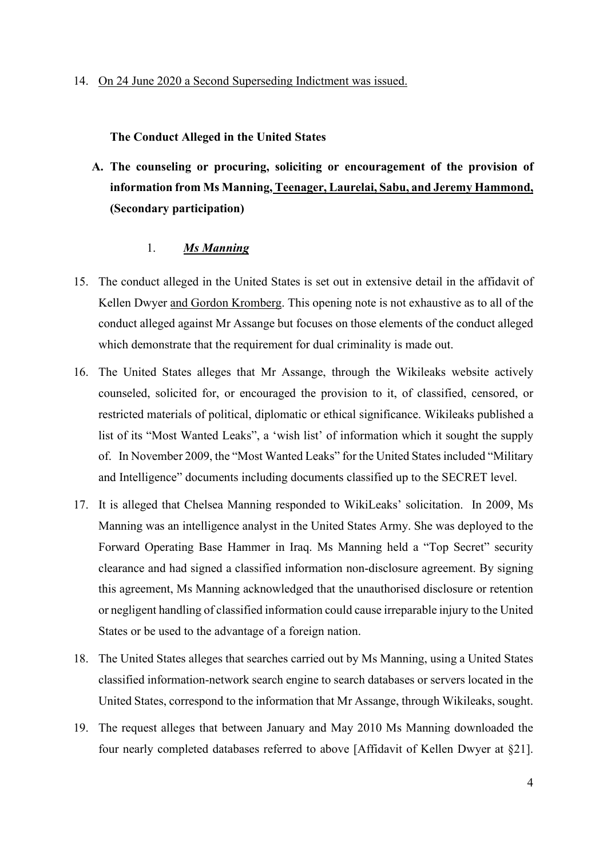**The Conduct Alleged in the United States**

**A. The counseling or procuring, soliciting or encouragement of the provision of information from Ms Manning, Teenager, Laurelai, Sabu, and Jeremy Hammond, (Secondary participation)**

### 1. *Ms Manning*

- 15. The conduct alleged in the United States is set out in extensive detail in the affidavit of Kellen Dwyer and Gordon Kromberg. This opening note is not exhaustive as to all of the conduct alleged against Mr Assange but focuses on those elements of the conduct alleged which demonstrate that the requirement for dual criminality is made out.
- 16. The United States alleges that Mr Assange, through the Wikileaks website actively counseled, solicited for, or encouraged the provision to it, of classified, censored, or restricted materials of political, diplomatic or ethical significance. Wikileaks published a list of its "Most Wanted Leaks", a 'wish list' of information which it sought the supply of. In November 2009, the "Most Wanted Leaks" for the United States included "Military and Intelligence" documents including documents classified up to the SECRET level.
- 17. It is alleged that Chelsea Manning responded to WikiLeaks' solicitation. In 2009, Ms Manning was an intelligence analyst in the United States Army. She was deployed to the Forward Operating Base Hammer in Iraq. Ms Manning held a "Top Secret" security clearance and had signed a classified information non-disclosure agreement. By signing this agreement, Ms Manning acknowledged that the unauthorised disclosure or retention or negligent handling of classified information could cause irreparable injury to the United States or be used to the advantage of a foreign nation.
- 18. The United States alleges that searches carried out by Ms Manning, using a United States classified information-network search engine to search databases or servers located in the United States, correspond to the information that Mr Assange, through Wikileaks, sought.
- 19. The request alleges that between January and May 2010 Ms Manning downloaded the four nearly completed databases referred to above [Affidavit of Kellen Dwyer at §21].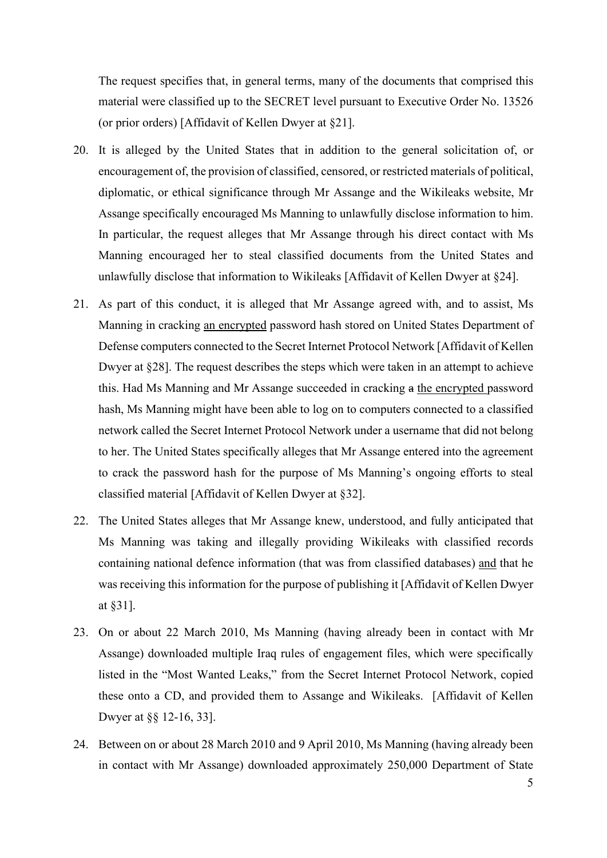The request specifies that, in general terms, many of the documents that comprised this material were classified up to the SECRET level pursuant to Executive Order No. 13526 (or prior orders) [Affidavit of Kellen Dwyer at §21].

- 20. It is alleged by the United States that in addition to the general solicitation of, or encouragement of, the provision of classified, censored, or restricted materials of political, diplomatic, or ethical significance through Mr Assange and the Wikileaks website, Mr Assange specifically encouraged Ms Manning to unlawfully disclose information to him. In particular, the request alleges that Mr Assange through his direct contact with Ms Manning encouraged her to steal classified documents from the United States and unlawfully disclose that information to Wikileaks [Affidavit of Kellen Dwyer at §24].
- 21. As part of this conduct, it is alleged that Mr Assange agreed with, and to assist, Ms Manning in cracking an encrypted password hash stored on United States Department of Defense computers connected to the Secret Internet Protocol Network [Affidavit of Kellen Dwyer at §28]. The request describes the steps which were taken in an attempt to achieve this. Had Ms Manning and Mr Assange succeeded in cracking a the encrypted password hash, Ms Manning might have been able to log on to computers connected to a classified network called the Secret Internet Protocol Network under a username that did not belong to her. The United States specifically alleges that Mr Assange entered into the agreement to crack the password hash for the purpose of Ms Manning's ongoing efforts to steal classified material [Affidavit of Kellen Dwyer at §32].
- 22. The United States alleges that Mr Assange knew, understood, and fully anticipated that Ms Manning was taking and illegally providing Wikileaks with classified records containing national defence information (that was from classified databases) and that he was receiving this information for the purpose of publishing it [Affidavit of Kellen Dwyer at §31].
- 23. On or about 22 March 2010, Ms Manning (having already been in contact with Mr Assange) downloaded multiple Iraq rules of engagement files, which were specifically listed in the "Most Wanted Leaks," from the Secret Internet Protocol Network, copied these onto a CD, and provided them to Assange and Wikileaks. [Affidavit of Kellen Dwyer at §§ 12-16, 33].
- 24. Between on or about 28 March 2010 and 9 April 2010, Ms Manning (having already been in contact with Mr Assange) downloaded approximately 250,000 Department of State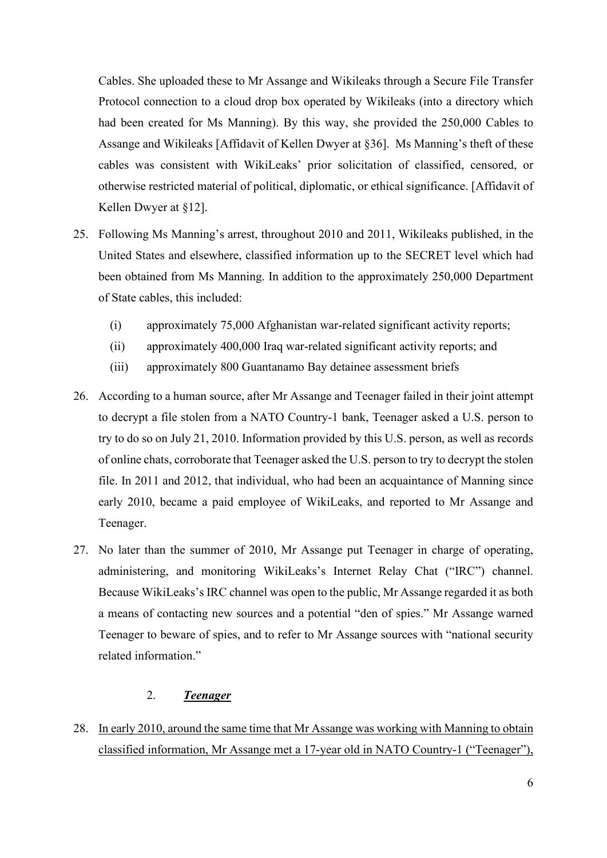Cables. She uploaded these to Mr Assange and Wikileaks through a Secure File Transfer Protocol connection to a cloud drop box operated by Wikileaks (into a directory which had been created for Ms Manning). By this way, she provided the 250,000 Cables to Assange and Wikileaks [Affidavit of Kellen Dwyer at §36]. Ms Manning's theft of these cables was consistent with WikiLeaks' prior solicitation of classified, censored, or otherwise restricted material of political, diplomatic, or ethical significance. [Affidavit of Kellen Dwyer at §12].

- 25. Following Ms Manning's arrest, throughout 2010 and 2011, Wikileaks published, in the United States and elsewhere, classified information up to the SECRET level which had been obtained from Ms Manning. In addition to the approximately 250,000 Department of State cables, this included:
	- (i) approximately 75,000 Afghanistan war-related significant activity reports;
	- (ii) approximately 400,000 Iraq war-related significant activity reports; and
	- (iii) approximately 800 Guantanamo Bay detainee assessment briefs
- 26. According to a human source, after Mr Assange and Teenager failed in their joint attempt to decrypt a file stolen from a NATO Country-1 bank, Teenager asked a U.S. person to try to do so on July 21, 2010. Information provided by this U.S. person, as well as records of online chats, corroborate that Teenager asked the U.S. person to try to decrypt the stolen file. In 2011 and 2012, that individual, who had been an acquaintance of Manning since early 2010, became a paid employee of WikiLeaks, and reported to Mr Assange and Teenager.
- 27. No later than the summer of 2010, Mr Assange put Teenager in charge of operating, administering, and monitoring WikiLeaks's Internet Relay Chat ("IRC") channel. Because WikiLeaks's IRC channel was open to the public, Mr Assange regarded it as both a means of contacting new sources and a potential "den of spies." Mr Assange warned Teenager to beware of spies, and to refer to Mr Assange sources with "national security related information."

## 2. *Teenager*

28. In early 2010, around the same time that Mr Assange was working with Manning to obtain classified information, Mr Assange met a 17-year old in NATO Country-1 ("Teenager"),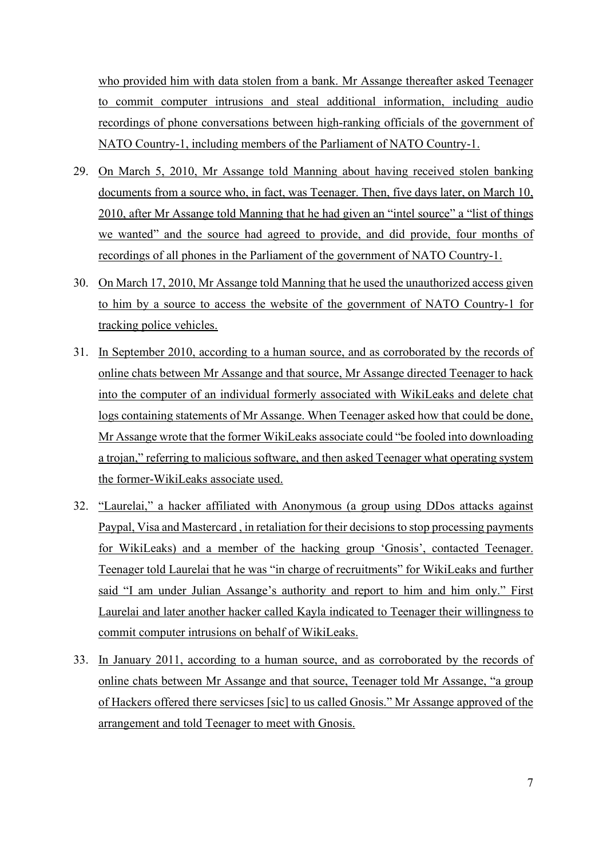who provided him with data stolen from a bank. Mr Assange thereafter asked Teenager to commit computer intrusions and steal additional information, including audio recordings of phone conversations between high-ranking officials of the government of NATO Country-1, including members of the Parliament of NATO Country-1.

- 29. On March 5, 2010, Mr Assange told Manning about having received stolen banking documents from a source who, in fact, was Teenager. Then, five days later, on March 10, 2010, after Mr Assange told Manning that he had given an "intel source" a "list of things we wanted" and the source had agreed to provide, and did provide, four months of recordings of all phones in the Parliament of the government of NATO Country-1.
- 30. On March 17, 2010, Mr Assange told Manning that he used the unauthorized access given to him by a source to access the website of the government of NATO Country-1 for tracking police vehicles.
- 31. In September 2010, according to a human source, and as corroborated by the records of online chats between Mr Assange and that source, Mr Assange directed Teenager to hack into the computer of an individual formerly associated with WikiLeaks and delete chat logs containing statements of Mr Assange. When Teenager asked how that could be done, Mr Assange wrote that the former WikiLeaks associate could "be fooled into downloading a trojan," referring to malicious software, and then asked Teenager what operating system the former-WikiLeaks associate used.
- 32. "Laurelai," a hacker affiliated with Anonymous (a group using DDos attacks against Paypal, Visa and Mastercard , in retaliation for their decisions to stop processing payments for WikiLeaks) and a member of the hacking group 'Gnosis', contacted Teenager. Teenager told Laurelai that he was "in charge of recruitments" for WikiLeaks and further said "I am under Julian Assange's authority and report to him and him only." First Laurelai and later another hacker called Kayla indicated to Teenager their willingness to commit computer intrusions on behalf of WikiLeaks.
- 33. In January 2011, according to a human source, and as corroborated by the records of online chats between Mr Assange and that source, Teenager told Mr Assange, "a group of Hackers offered there servicses [sic] to us called Gnosis." Mr Assange approved of the arrangement and told Teenager to meet with Gnosis.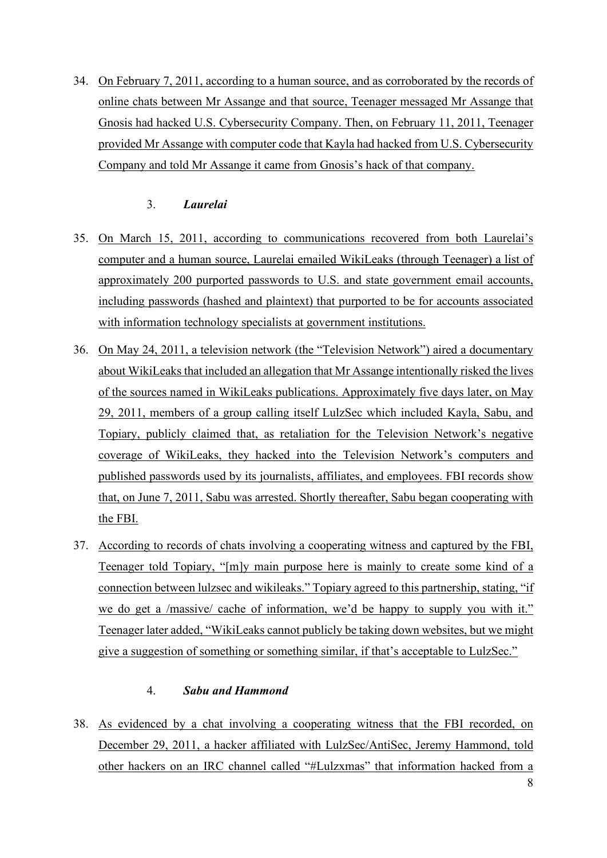34. On February 7, 2011, according to a human source, and as corroborated by the records of online chats between Mr Assange and that source, Teenager messaged Mr Assange that Gnosis had hacked U.S. Cybersecurity Company. Then, on February 11, 2011, Teenager provided Mr Assange with computer code that Kayla had hacked from U.S. Cybersecurity Company and told Mr Assange it came from Gnosis's hack of that company.

## 3. *Laurelai*

- 35. On March 15, 2011, according to communications recovered from both Laurelai's computer and a human source, Laurelai emailed WikiLeaks (through Teenager) a list of approximately 200 purported passwords to U.S. and state government email accounts, including passwords (hashed and plaintext) that purported to be for accounts associated with information technology specialists at government institutions.
- 36. On May 24, 2011, a television network (the "Television Network") aired a documentary about WikiLeaks that included an allegation that Mr Assange intentionally risked the lives of the sources named in WikiLeaks publications. Approximately five days later, on May 29, 2011, members of a group calling itself LulzSec which included Kayla, Sabu, and Topiary, publicly claimed that, as retaliation for the Television Network's negative coverage of WikiLeaks, they hacked into the Television Network's computers and published passwords used by its journalists, affiliates, and employees. FBI records show that, on June 7, 2011, Sabu was arrested. Shortly thereafter, Sabu began cooperating with the FBI.
- 37. According to records of chats involving a cooperating witness and captured by the FBI, Teenager told Topiary, "[m]y main purpose here is mainly to create some kind of a connection between lulzsec and wikileaks." Topiary agreed to this partnership, stating, "if we do get a /massive/ cache of information, we'd be happy to supply you with it." Teenager later added, "WikiLeaks cannot publicly be taking down websites, but we might give a suggestion of something or something similar, if that's acceptable to LulzSec."

## 4. *Sabu and Hammond*

38. As evidenced by a chat involving a cooperating witness that the FBI recorded, on December 29, 2011, a hacker affiliated with LulzSec/AntiSec, Jeremy Hammond, told other hackers on an IRC channel called "#Lulzxmas" that information hacked from a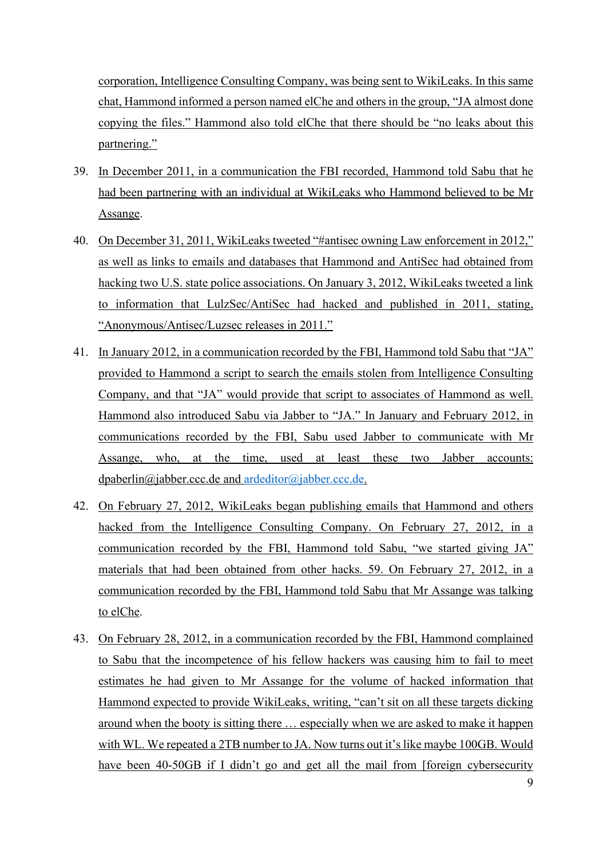corporation, Intelligence Consulting Company, was being sent to WikiLeaks. In this same chat, Hammond informed a person named elChe and others in the group, "JA almost done copying the files." Hammond also told elChe that there should be "no leaks about this partnering."

- 39. In December 2011, in a communication the FBI recorded, Hammond told Sabu that he had been partnering with an individual at WikiLeaks who Hammond believed to be Mr Assange.
- 40. On December 31, 2011, WikiLeaks tweeted "#antisec owning Law enforcement in 2012," as well as links to emails and databases that Hammond and AntiSec had obtained from hacking two U.S. state police associations. On January 3, 2012, WikiLeaks tweeted a link to information that LulzSec/AntiSec had hacked and published in 2011, stating, "Anonymous/Antisec/Luzsec releases in 2011."
- 41. In January 2012, in a communication recorded by the FBI, Hammond told Sabu that "JA" provided to Hammond a script to search the emails stolen from Intelligence Consulting Company, and that "JA" would provide that script to associates of Hammond as well. Hammond also introduced Sabu via Jabber to "JA." In January and February 2012, in communications recorded by the FBI, Sabu used Jabber to communicate with Mr Assange, who, at the time, used at least these two Jabber accounts: dpaberlin@jabber.ccc.de and [ardeditor@jabber.ccc.de.](mailto:ardeditor@jabber.ccc.de)
- 42. On February 27, 2012, WikiLeaks began publishing emails that Hammond and others hacked from the Intelligence Consulting Company. On February 27, 2012, in a communication recorded by the FBI, Hammond told Sabu, "we started giving JA" materials that had been obtained from other hacks. 59. On February 27, 2012, in a communication recorded by the FBI, Hammond told Sabu that Mr Assange was talking to elChe.
- 43. On February 28, 2012, in a communication recorded by the FBI, Hammond complained to Sabu that the incompetence of his fellow hackers was causing him to fail to meet estimates he had given to Mr Assange for the volume of hacked information that Hammond expected to provide WikiLeaks, writing, "can't sit on all these targets dicking around when the booty is sitting there … especially when we are asked to make it happen with WL. We repeated a 2TB number to JA. Now turns out it's like maybe 100GB. Would have been 40-50GB if I didn't go and get all the mail from [foreign cybersecurity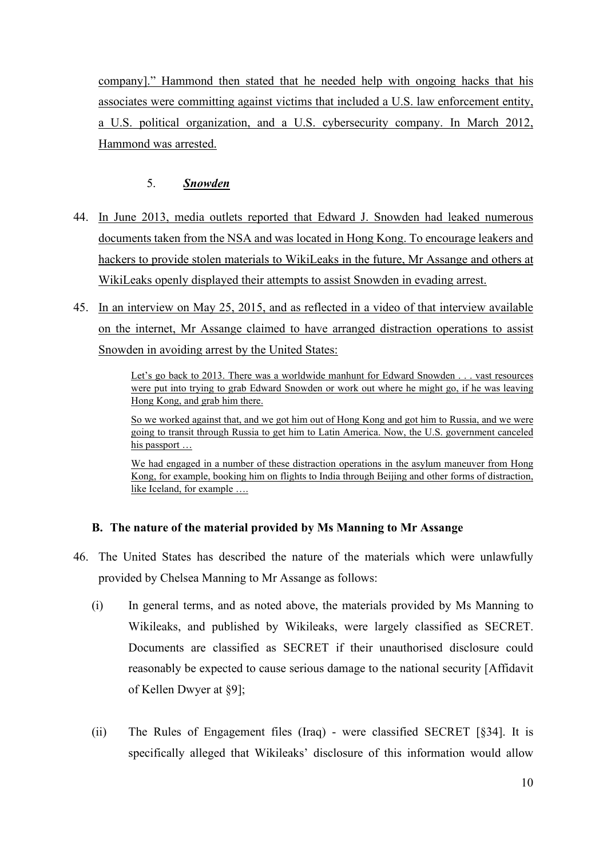company]." Hammond then stated that he needed help with ongoing hacks that his associates were committing against victims that included a U.S. law enforcement entity, a U.S. political organization, and a U.S. cybersecurity company. In March 2012, Hammond was arrested.

## 5. *Snowden*

- 44. In June 2013, media outlets reported that Edward J. Snowden had leaked numerous documents taken from the NSA and was located in Hong Kong. To encourage leakers and hackers to provide stolen materials to WikiLeaks in the future, Mr Assange and others at WikiLeaks openly displayed their attempts to assist Snowden in evading arrest.
- 45. In an interview on May 25, 2015, and as reflected in a video of that interview available on the internet, Mr Assange claimed to have arranged distraction operations to assist Snowden in avoiding arrest by the United States:

Let's go back to 2013. There was a worldwide manhunt for Edward Snowden . . . vast resources were put into trying to grab Edward Snowden or work out where he might go, if he was leaving Hong Kong, and grab him there.

So we worked against that, and we got him out of Hong Kong and got him to Russia, and we were going to transit through Russia to get him to Latin America. Now, the U.S. government canceled his passport ...

We had engaged in a number of these distraction operations in the asylum maneuver from Hong Kong, for example, booking him on flights to India through Beijing and other forms of distraction, like Iceland, for example ….

## **B. The nature of the material provided by Ms Manning to Mr Assange**

- 46. The United States has described the nature of the materials which were unlawfully provided by Chelsea Manning to Mr Assange as follows:
	- (i) In general terms, and as noted above, the materials provided by Ms Manning to Wikileaks, and published by Wikileaks, were largely classified as SECRET. Documents are classified as SECRET if their unauthorised disclosure could reasonably be expected to cause serious damage to the national security [Affidavit of Kellen Dwyer at §9];
	- (ii) The Rules of Engagement files (Iraq) were classified SECRET [§34]. It is specifically alleged that Wikileaks' disclosure of this information would allow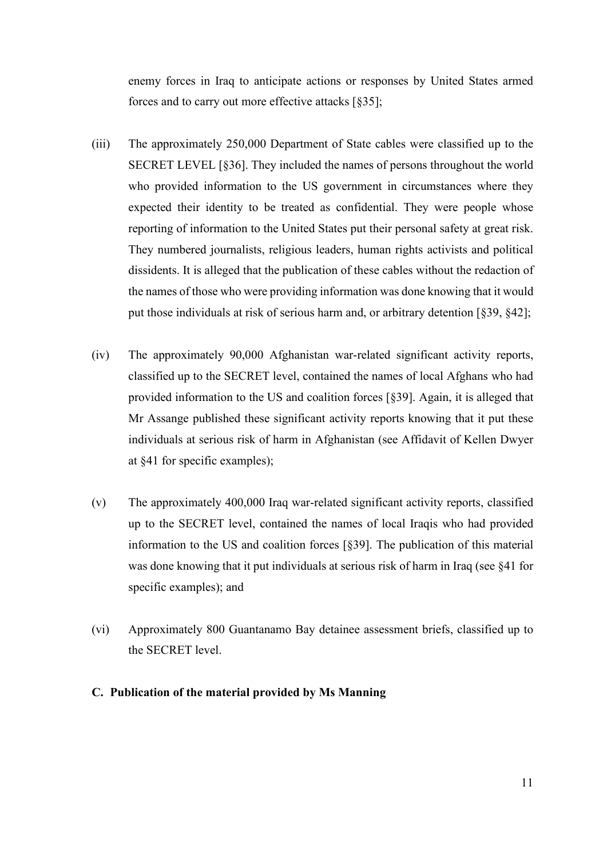enemy forces in Iraq to anticipate actions or responses by United States armed forces and to carry out more effective attacks [§35];

- (iii) The approximately 250,000 Department of State cables were classified up to the SECRET LEVEL [§36]. They included the names of persons throughout the world who provided information to the US government in circumstances where they expected their identity to be treated as confidential. They were people whose reporting of information to the United States put their personal safety at great risk. They numbered journalists, religious leaders, human rights activists and political dissidents. It is alleged that the publication of these cables without the redaction of the names of those who were providing information was done knowing that it would put those individuals at risk of serious harm and, or arbitrary detention [§39, §42];
- (iv) The approximately 90,000 Afghanistan war-related significant activity reports, classified up to the SECRET level, contained the names of local Afghans who had provided information to the US and coalition forces [§39]. Again, it is alleged that Mr Assange published these significant activity reports knowing that it put these individuals at serious risk of harm in Afghanistan (see Affidavit of Kellen Dwyer at §41 for specific examples);
- (v) The approximately 400,000 Iraq war-related significant activity reports, classified up to the SECRET level, contained the names of local Iraqis who had provided information to the US and coalition forces [§39]. The publication of this material was done knowing that it put individuals at serious risk of harm in Iraq (see §41 for specific examples); and
- (vi) Approximately 800 Guantanamo Bay detainee assessment briefs, classified up to the SECRET level.
- **C. Publication of the material provided by Ms Manning**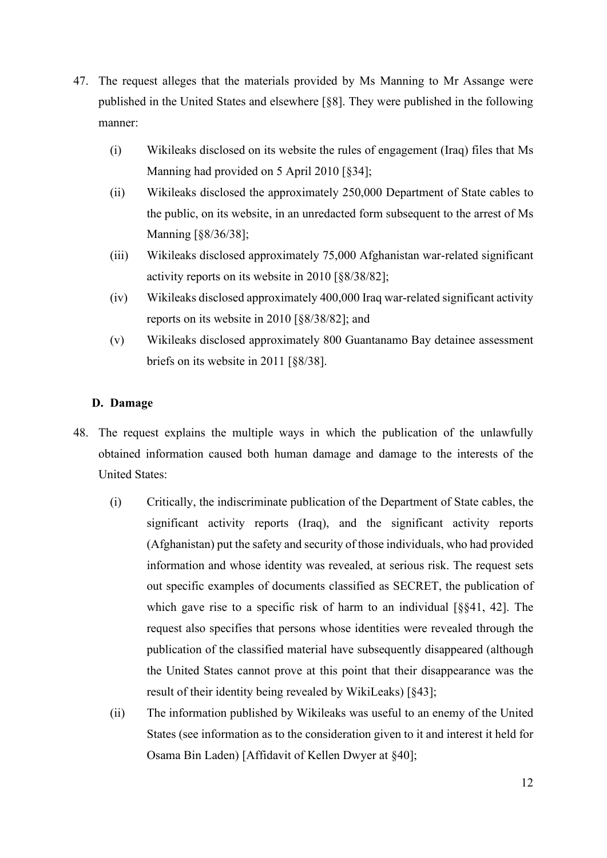- 47. The request alleges that the materials provided by Ms Manning to Mr Assange were published in the United States and elsewhere [§8]. They were published in the following manner:
	- (i) Wikileaks disclosed on its website the rules of engagement (Iraq) files that Ms Manning had provided on 5 April 2010 [§34];
	- (ii) Wikileaks disclosed the approximately 250,000 Department of State cables to the public, on its website, in an unredacted form subsequent to the arrest of Ms Manning [§8/36/38];
	- (iii) Wikileaks disclosed approximately 75,000 Afghanistan war-related significant activity reports on its website in 2010 [§8/38/82];
	- (iv) Wikileaks disclosed approximately 400,000 Iraq war-related significant activity reports on its website in 2010 [§8/38/82]; and
	- (v) Wikileaks disclosed approximately 800 Guantanamo Bay detainee assessment briefs on its website in 2011 [§8/38].

### **D. Damage**

- 48. The request explains the multiple ways in which the publication of the unlawfully obtained information caused both human damage and damage to the interests of the United States:
	- (i) Critically, the indiscriminate publication of the Department of State cables, the significant activity reports (Iraq), and the significant activity reports (Afghanistan) put the safety and security of those individuals, who had provided information and whose identity was revealed, at serious risk. The request sets out specific examples of documents classified as SECRET, the publication of which gave rise to a specific risk of harm to an individual [§§41, 42]. The request also specifies that persons whose identities were revealed through the publication of the classified material have subsequently disappeared (although the United States cannot prove at this point that their disappearance was the result of their identity being revealed by WikiLeaks) [§43];
	- (ii) The information published by Wikileaks was useful to an enemy of the United States (see information as to the consideration given to it and interest it held for Osama Bin Laden) [Affidavit of Kellen Dwyer at §40];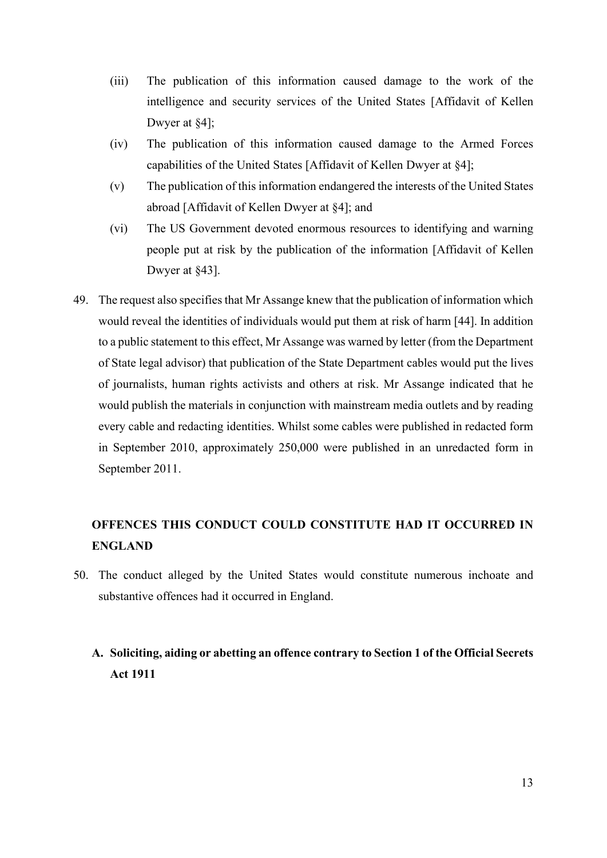- (iii) The publication of this information caused damage to the work of the intelligence and security services of the United States [Affidavit of Kellen Dwyer at §4];
- (iv) The publication of this information caused damage to the Armed Forces capabilities of the United States [Affidavit of Kellen Dwyer at §4];
- (v) The publication of this information endangered the interests of the United States abroad [Affidavit of Kellen Dwyer at §4]; and
- (vi) The US Government devoted enormous resources to identifying and warning people put at risk by the publication of the information [Affidavit of Kellen Dwyer at §43].
- 49. The request also specifies that Mr Assange knew that the publication of information which would reveal the identities of individuals would put them at risk of harm [44]. In addition to a public statement to this effect, Mr Assange was warned by letter (from the Department of State legal advisor) that publication of the State Department cables would put the lives of journalists, human rights activists and others at risk. Mr Assange indicated that he would publish the materials in conjunction with mainstream media outlets and by reading every cable and redacting identities. Whilst some cables were published in redacted form in September 2010, approximately 250,000 were published in an unredacted form in September 2011.

# **OFFENCES THIS CONDUCT COULD CONSTITUTE HAD IT OCCURRED IN ENGLAND**

50. The conduct alleged by the United States would constitute numerous inchoate and substantive offences had it occurred in England.

# **A. Soliciting, aiding or abetting an offence contrary to Section 1 of the Official Secrets Act 1911**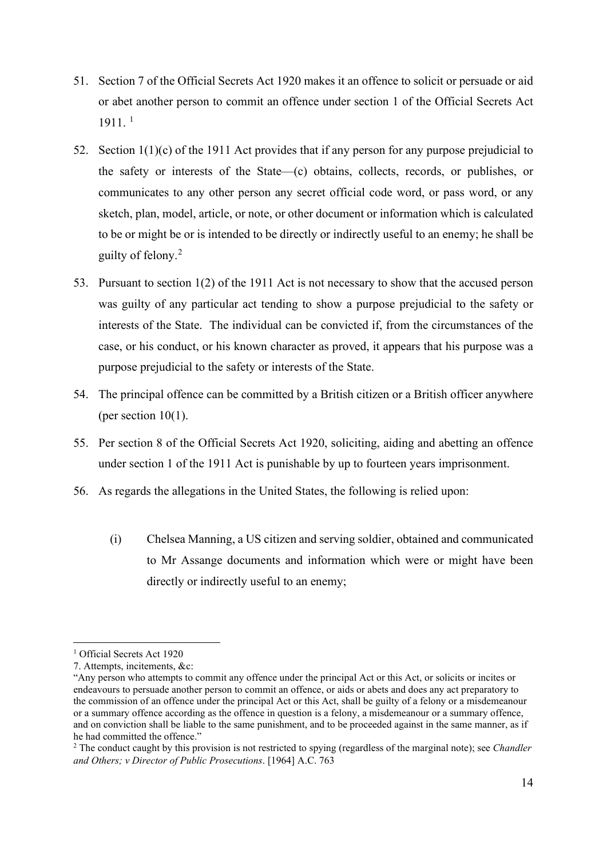- 51. Section 7 of the Official Secrets Act 1920 makes it an offence to solicit or persuade or aid or abet another person to commit an offence under section 1 of the Official Secrets Act 1911. [1](#page-13-0)
- 52. Section 1(1)(c) of the 1911 Act provides that if any person for any purpose prejudicial to the safety or interests of the State—(c) obtains, collects, records, or publishes, or communicates to any other person any secret official code word, or pass word, or any sketch, plan, model, article, or note, or other document or information which is calculated to be or might be or is intended to be directly or indirectly useful to an enemy; he shall be guilty of felony. [2](#page-13-1)
- 53. Pursuant to section 1(2) of the 1911 Act is not necessary to show that the accused person was guilty of any particular act tending to show a purpose prejudicial to the safety or interests of the State. The individual can be convicted if, from the circumstances of the case, or his conduct, or his known character as proved, it appears that his purpose was a purpose prejudicial to the safety or interests of the State.
- 54. The principal offence can be committed by a British citizen or a British officer anywhere (per section 10(1).
- 55. Per section 8 of the Official Secrets Act 1920, soliciting, aiding and abetting an offence under section 1 of the 1911 Act is punishable by up to fourteen years imprisonment.
- 56. As regards the allegations in the United States, the following is relied upon:
	- (i) Chelsea Manning, a US citizen and serving soldier, obtained and communicated to Mr Assange documents and information which were or might have been directly or indirectly useful to an enemy;

<span id="page-13-0"></span><sup>&</sup>lt;sup>1</sup> Official Secrets Act 1920

<sup>7.</sup> Attempts, incitements, &c:

<sup>&</sup>quot;Any person who attempts to commit any offence under the principal Act or this Act, or solicits or incites or endeavours to persuade another person to commit an offence, or aids or abets and does any act preparatory to the commission of an offence under the principal Act or this Act, shall be guilty of a felony or a misdemeanour or a summary offence according as the offence in question is a felony, a misdemeanour or a summary offence, and on conviction shall be liable to the same punishment, and to be proceeded against in the same manner, as if he had committed the offence."

<span id="page-13-1"></span><sup>2</sup> The conduct caught by this provision is not restricted to spying (regardless of the marginal note); see *Chandler and Others; v Director of Public Prosecutions*. [1964] A.C. 763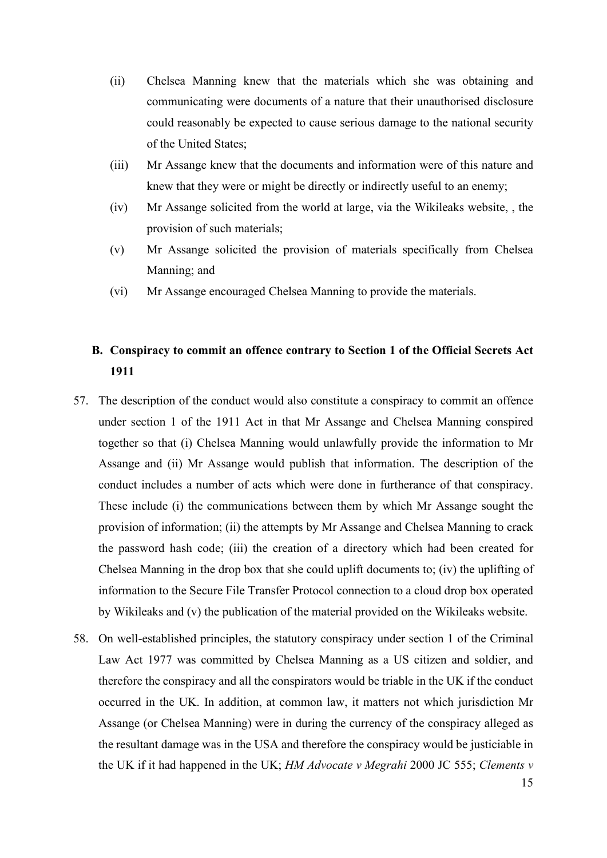- (ii) Chelsea Manning knew that the materials which she was obtaining and communicating were documents of a nature that their unauthorised disclosure could reasonably be expected to cause serious damage to the national security of the United States;
- (iii) Mr Assange knew that the documents and information were of this nature and knew that they were or might be directly or indirectly useful to an enemy;
- (iv) Mr Assange solicited from the world at large, via the Wikileaks website, , the provision of such materials;
- (v) Mr Assange solicited the provision of materials specifically from Chelsea Manning; and
- (vi) Mr Assange encouraged Chelsea Manning to provide the materials.

## **B. Conspiracy to commit an offence contrary to Section 1 of the Official Secrets Act 1911**

- 57. The description of the conduct would also constitute a conspiracy to commit an offence under section 1 of the 1911 Act in that Mr Assange and Chelsea Manning conspired together so that (i) Chelsea Manning would unlawfully provide the information to Mr Assange and (ii) Mr Assange would publish that information. The description of the conduct includes a number of acts which were done in furtherance of that conspiracy. These include (i) the communications between them by which Mr Assange sought the provision of information; (ii) the attempts by Mr Assange and Chelsea Manning to crack the password hash code; (iii) the creation of a directory which had been created for Chelsea Manning in the drop box that she could uplift documents to; (iv) the uplifting of information to the Secure File Transfer Protocol connection to a cloud drop box operated by Wikileaks and (v) the publication of the material provided on the Wikileaks website.
- 58. On well-established principles, the statutory conspiracy under section 1 of the Criminal Law Act 1977 was committed by Chelsea Manning as a US citizen and soldier, and therefore the conspiracy and all the conspirators would be triable in the UK if the conduct occurred in the UK. In addition, at common law, it matters not which jurisdiction Mr Assange (or Chelsea Manning) were in during the currency of the conspiracy alleged as the resultant damage was in the USA and therefore the conspiracy would be justiciable in the UK if it had happened in the UK; *HM Advocate v Megrahi* 2000 JC 555; *Clements v*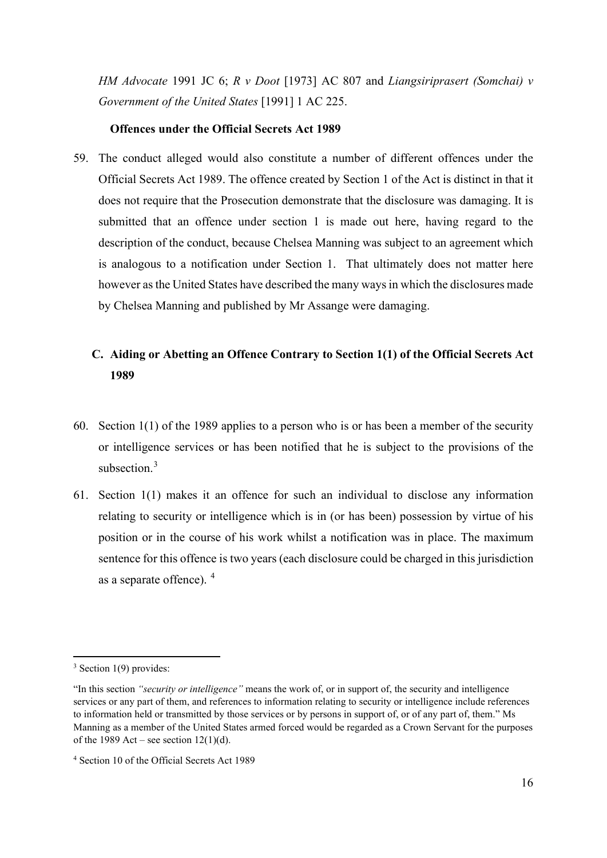*HM Advocate* 1991 JC 6; *R v Doot* [1973] AC 807 and *Liangsiriprasert (Somchai) v Government of the United States* [1991] 1 AC 225.

### **Offences under the Official Secrets Act 1989**

59. The conduct alleged would also constitute a number of different offences under the Official Secrets Act 1989. The offence created by Section 1 of the Act is distinct in that it does not require that the Prosecution demonstrate that the disclosure was damaging. It is submitted that an offence under section 1 is made out here, having regard to the description of the conduct, because Chelsea Manning was subject to an agreement which is analogous to a notification under Section 1. That ultimately does not matter here however as the United States have described the many ways in which the disclosures made by Chelsea Manning and published by Mr Assange were damaging.

## **C. Aiding or Abetting an Offence Contrary to Section 1(1) of the Official Secrets Act 1989**

- 60. Section 1(1) of the 1989 applies to a person who is or has been a member of the security or intelligence services or has been notified that he is subject to the provisions of the subsection.<sup>[3](#page-15-0)</sup>
- 61. Section 1(1) makes it an offence for such an individual to disclose any information relating to security or intelligence which is in (or has been) possession by virtue of his position or in the course of his work whilst a notification was in place. The maximum sentence for this offence is two years (each disclosure could be charged in this jurisdiction as a separate offence). [4](#page-15-1)

<span id="page-15-0"></span> $3$  Section 1(9) provides:

<sup>&</sup>quot;In this section *"security or intelligence"* means the work of, or in support of, the security and intelligence services or any part of them, and references to information relating to security or intelligence include references to information held or transmitted by those services or by persons in support of, or of any part of, them." Ms Manning as a member of the United States armed forced would be regarded as a Crown Servant for the purposes of the 1989 Act – see section  $12(1)(d)$ .

<span id="page-15-1"></span><sup>4</sup> Section 10 of the Official Secrets Act 1989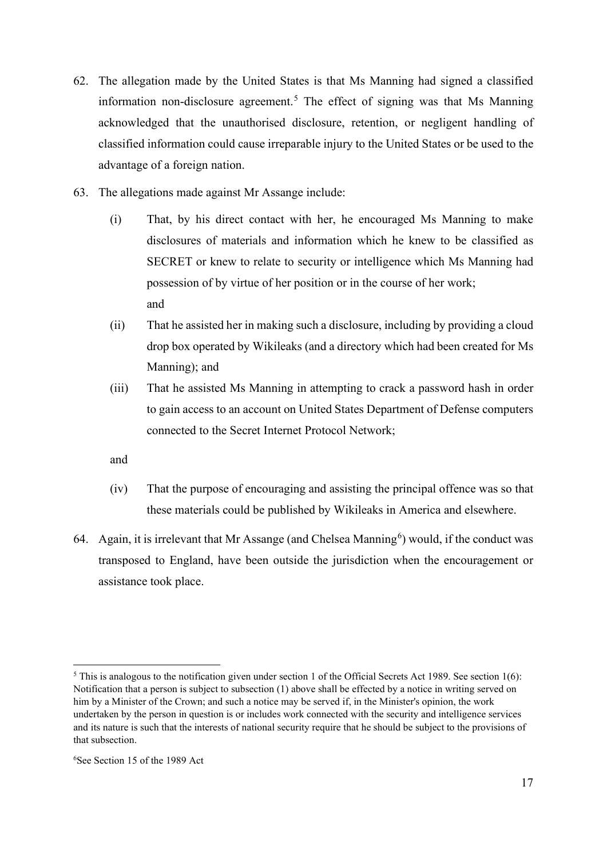- 62. The allegation made by the United States is that Ms Manning had signed a classified information non-disclosure agreement.<sup>[5](#page-16-0)</sup> The effect of signing was that Ms Manning acknowledged that the unauthorised disclosure, retention, or negligent handling of classified information could cause irreparable injury to the United States or be used to the advantage of a foreign nation.
- 63. The allegations made against Mr Assange include:
	- (i) That, by his direct contact with her, he encouraged Ms Manning to make disclosures of materials and information which he knew to be classified as SECRET or knew to relate to security or intelligence which Ms Manning had possession of by virtue of her position or in the course of her work; and
	- (ii) That he assisted her in making such a disclosure, including by providing a cloud drop box operated by Wikileaks (and a directory which had been created for Ms Manning); and
	- (iii) That he assisted Ms Manning in attempting to crack a password hash in order to gain access to an account on United States Department of Defense computers connected to the Secret Internet Protocol Network;

and

- (iv) That the purpose of encouraging and assisting the principal offence was so that these materials could be published by Wikileaks in America and elsewhere.
- [6](#page-16-1)4. Again, it is irrelevant that Mr Assange (and Chelsea Manning<sup>6</sup>) would, if the conduct was transposed to England, have been outside the jurisdiction when the encouragement or assistance took place.

<span id="page-16-0"></span><sup>&</sup>lt;sup>5</sup> This is analogous to the notification given under section 1 of the Official Secrets Act 1989. See section  $1(6)$ : Notification that a person is subject to subsection (1) above shall be effected by a notice in writing served on him by a Minister of the Crown; and such a notice may be served if, in the Minister's opinion, the work undertaken by the person in question is or includes work connected with the security and intelligence services and its nature is such that the interests of national security require that he should be subject to the provisions of that subsection.

<span id="page-16-1"></span><sup>6</sup> See Section 15 of the 1989 Act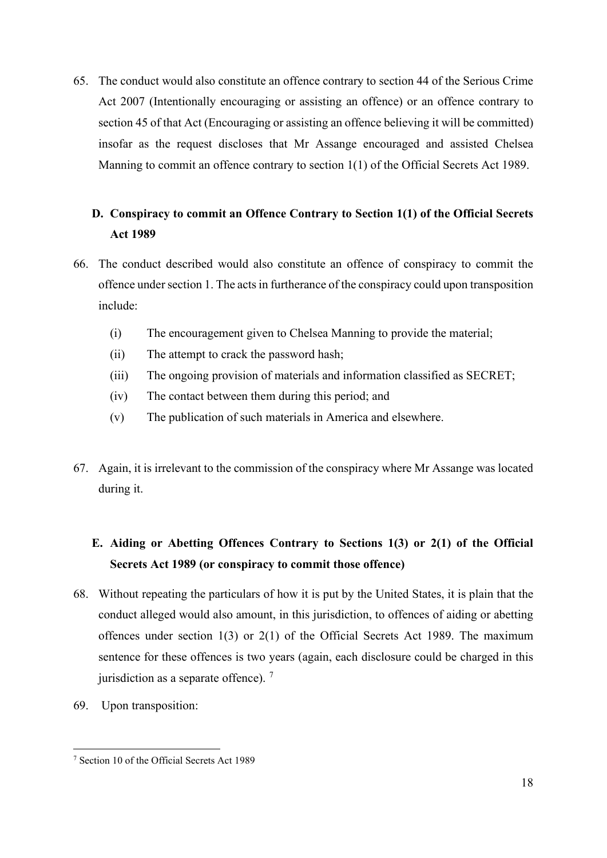65. The conduct would also constitute an offence contrary to section 44 of the Serious Crime Act 2007 (Intentionally encouraging or assisting an offence) or an offence contrary to section 45 of that Act (Encouraging or assisting an offence believing it will be committed) insofar as the request discloses that Mr Assange encouraged and assisted Chelsea Manning to commit an offence contrary to section 1(1) of the Official Secrets Act 1989.

# **D. Conspiracy to commit an Offence Contrary to Section 1(1) of the Official Secrets Act 1989**

- 66. The conduct described would also constitute an offence of conspiracy to commit the offence under section 1. The acts in furtherance of the conspiracy could upon transposition include:
	- (i) The encouragement given to Chelsea Manning to provide the material;
	- (ii) The attempt to crack the password hash;
	- (iii) The ongoing provision of materials and information classified as SECRET;
	- (iv) The contact between them during this period; and
	- (v) The publication of such materials in America and elsewhere.
- 67. Again, it is irrelevant to the commission of the conspiracy where Mr Assange was located during it.

# **E. Aiding or Abetting Offences Contrary to Sections 1(3) or 2(1) of the Official Secrets Act 1989 (or conspiracy to commit those offence)**

- 68. Without repeating the particulars of how it is put by the United States, it is plain that the conduct alleged would also amount, in this jurisdiction, to offences of aiding or abetting offences under section 1(3) or 2(1) of the Official Secrets Act 1989. The maximum sentence for these offences is two years (again, each disclosure could be charged in this jurisdiction as a separate offence).  $<sup>7</sup>$  $<sup>7</sup>$  $<sup>7</sup>$ </sup>
- 69. Upon transposition:

<span id="page-17-0"></span><sup>7</sup> Section 10 of the Official Secrets Act 1989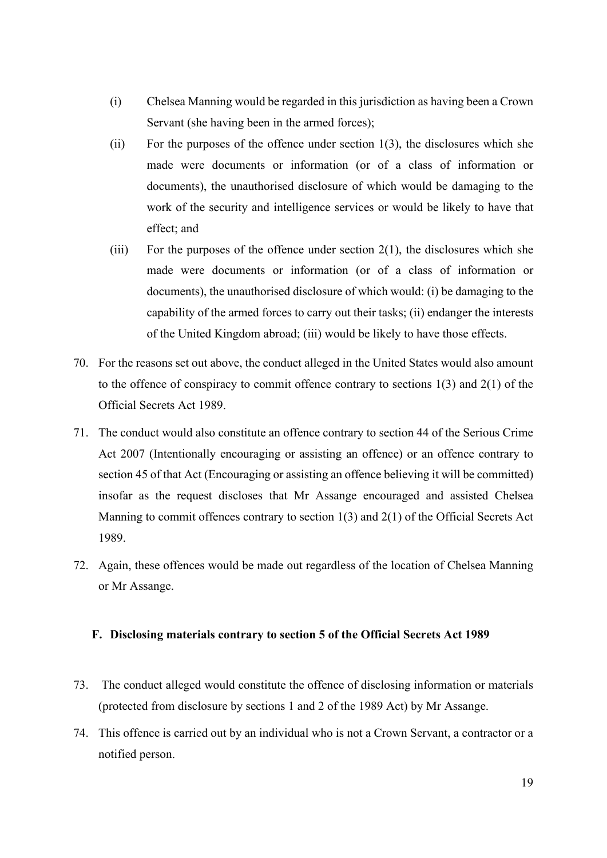- (i) Chelsea Manning would be regarded in this jurisdiction as having been a Crown Servant (she having been in the armed forces);
- (ii) For the purposes of the offence under section  $1(3)$ , the disclosures which she made were documents or information (or of a class of information or documents), the unauthorised disclosure of which would be damaging to the work of the security and intelligence services or would be likely to have that effect; and
- (iii) For the purposes of the offence under section  $2(1)$ , the disclosures which she made were documents or information (or of a class of information or documents), the unauthorised disclosure of which would: (i) be damaging to the capability of the armed forces to carry out their tasks; (ii) endanger the interests of the United Kingdom abroad; (iii) would be likely to have those effects.
- 70. For the reasons set out above, the conduct alleged in the United States would also amount to the offence of conspiracy to commit offence contrary to sections 1(3) and 2(1) of the Official Secrets Act 1989.
- 71. The conduct would also constitute an offence contrary to section 44 of the Serious Crime Act 2007 (Intentionally encouraging or assisting an offence) or an offence contrary to section 45 of that Act (Encouraging or assisting an offence believing it will be committed) insofar as the request discloses that Mr Assange encouraged and assisted Chelsea Manning to commit offences contrary to section  $1(3)$  and  $2(1)$  of the Official Secrets Act 1989.
- 72. Again, these offences would be made out regardless of the location of Chelsea Manning or Mr Assange.

### **F. Disclosing materials contrary to section 5 of the Official Secrets Act 1989**

- 73. The conduct alleged would constitute the offence of disclosing information or materials (protected from disclosure by sections 1 and 2 of the 1989 Act) by Mr Assange.
- 74. This offence is carried out by an individual who is not a Crown Servant, a contractor or a notified person.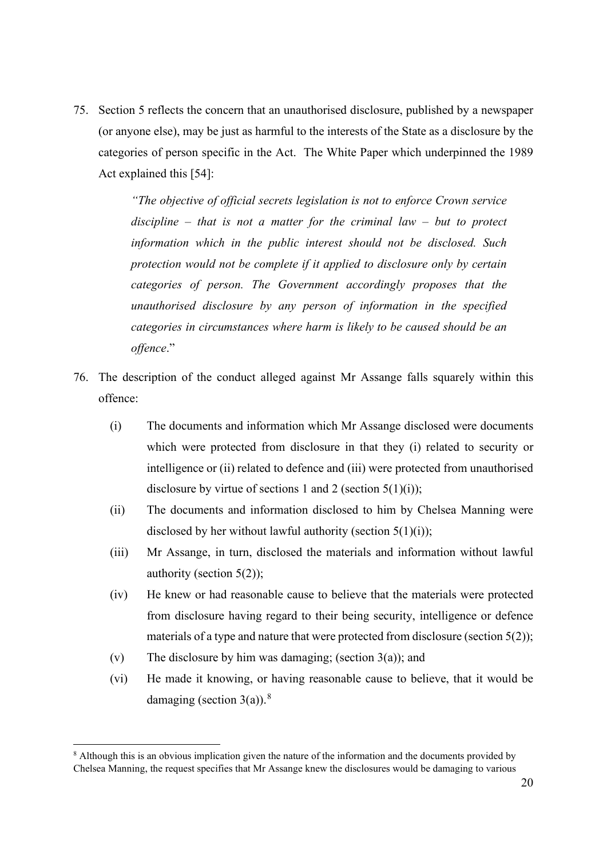75. Section 5 reflects the concern that an unauthorised disclosure, published by a newspaper (or anyone else), may be just as harmful to the interests of the State as a disclosure by the categories of person specific in the Act. The White Paper which underpinned the 1989 Act explained this [54]:

> *"The objective of official secrets legislation is not to enforce Crown service discipline – that is not a matter for the criminal law – but to protect information which in the public interest should not be disclosed. Such protection would not be complete if it applied to disclosure only by certain categories of person. The Government accordingly proposes that the unauthorised disclosure by any person of information in the specified categories in circumstances where harm is likely to be caused should be an offence*."

- 76. The description of the conduct alleged against Mr Assange falls squarely within this offence:
	- (i) The documents and information which Mr Assange disclosed were documents which were protected from disclosure in that they (i) related to security or intelligence or (ii) related to defence and (iii) were protected from unauthorised disclosure by virtue of sections 1 and 2 (section  $5(1)(i)$ );
	- (ii) The documents and information disclosed to him by Chelsea Manning were disclosed by her without lawful authority (section  $5(1)(i)$ );
	- (iii) Mr Assange, in turn, disclosed the materials and information without lawful authority (section 5(2));
	- (iv) He knew or had reasonable cause to believe that the materials were protected from disclosure having regard to their being security, intelligence or defence materials of a type and nature that were protected from disclosure (section 5(2));
	- (v) The disclosure by him was damaging; (section  $3(a)$ ); and
	- (vi) He made it knowing, or having reasonable cause to believe, that it would be damaging (section  $3(a)$ ).<sup>[8](#page-19-0)</sup>

<span id="page-19-0"></span><sup>&</sup>lt;sup>8</sup> Although this is an obvious implication given the nature of the information and the documents provided by Chelsea Manning, the request specifies that Mr Assange knew the disclosures would be damaging to various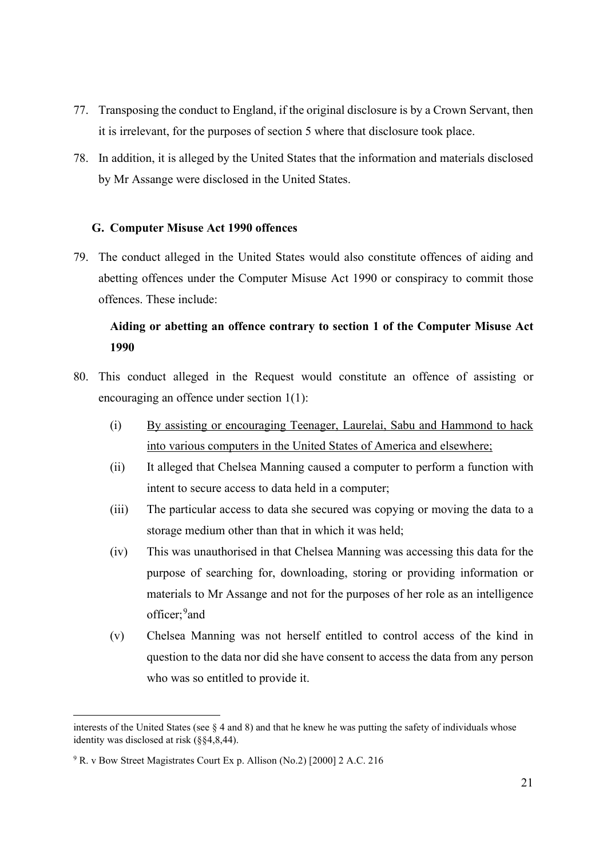- 77. Transposing the conduct to England, if the original disclosure is by a Crown Servant, then it is irrelevant, for the purposes of section 5 where that disclosure took place.
- 78. In addition, it is alleged by the United States that the information and materials disclosed by Mr Assange were disclosed in the United States.

### **G. Computer Misuse Act 1990 offences**

79. The conduct alleged in the United States would also constitute offences of aiding and abetting offences under the Computer Misuse Act 1990 or conspiracy to commit those offences. These include:

## **Aiding or abetting an offence contrary to section 1 of the Computer Misuse Act 1990**

- 80. This conduct alleged in the Request would constitute an offence of assisting or encouraging an offence under section 1(1):
	- (i) By assisting or encouraging Teenager, Laurelai, Sabu and Hammond to hack into various computers in the United States of America and elsewhere;
	- (ii) It alleged that Chelsea Manning caused a computer to perform a function with intent to secure access to data held in a computer;
	- (iii) The particular access to data she secured was copying or moving the data to a storage medium other than that in which it was held;
	- (iv) This was unauthorised in that Chelsea Manning was accessing this data for the purpose of searching for, downloading, storing or providing information or materials to Mr Assange and not for the purposes of her role as an intelligence officer; <sup>[9](#page-20-0)</sup> and
	- (v) Chelsea Manning was not herself entitled to control access of the kind in question to the data nor did she have consent to access the data from any person who was so entitled to provide it.

interests of the United States (see § 4 and 8) and that he knew he was putting the safety of individuals whose identity was disclosed at risk (§§4,8,44).

<span id="page-20-0"></span><sup>9</sup> R. v Bow Street Magistrates Court Ex p. Allison (No.2) [2000] 2 A.C. 216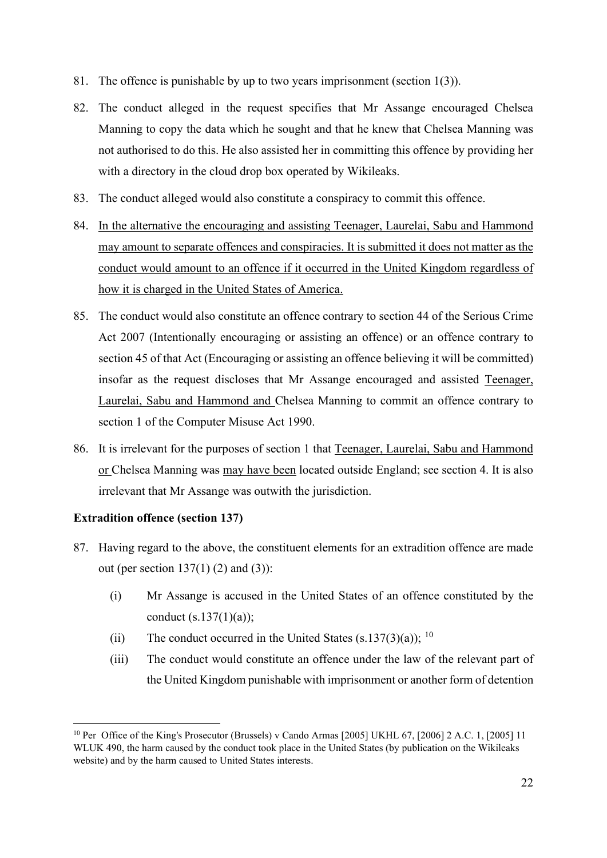- 81. The offence is punishable by up to two years imprisonment (section 1(3)).
- 82. The conduct alleged in the request specifies that Mr Assange encouraged Chelsea Manning to copy the data which he sought and that he knew that Chelsea Manning was not authorised to do this. He also assisted her in committing this offence by providing her with a directory in the cloud drop box operated by Wikileaks.
- 83. The conduct alleged would also constitute a conspiracy to commit this offence.
- 84. In the alternative the encouraging and assisting Teenager, Laurelai, Sabu and Hammond may amount to separate offences and conspiracies. It is submitted it does not matter as the conduct would amount to an offence if it occurred in the United Kingdom regardless of how it is charged in the United States of America.
- 85. The conduct would also constitute an offence contrary to section 44 of the Serious Crime Act 2007 (Intentionally encouraging or assisting an offence) or an offence contrary to section 45 of that Act (Encouraging or assisting an offence believing it will be committed) insofar as the request discloses that Mr Assange encouraged and assisted Teenager, Laurelai, Sabu and Hammond and Chelsea Manning to commit an offence contrary to section 1 of the Computer Misuse Act 1990.
- 86. It is irrelevant for the purposes of section 1 that Teenager, Laurelai, Sabu and Hammond or Chelsea Manning was may have been located outside England; see section 4. It is also irrelevant that Mr Assange was outwith the jurisdiction.

## **Extradition offence (section 137)**

- 87. Having regard to the above, the constituent elements for an extradition offence are made out (per section  $137(1)$  (2) and (3)):
	- (i) Mr Assange is accused in the United States of an offence constituted by the conduct  $(s.137(1)(a))$ ;
	- (ii) The conduct occurred in the United States  $(s.137(3)(a))$ ; <sup>[10](#page-21-0)</sup>
	- (iii) The conduct would constitute an offence under the law of the relevant part of the United Kingdom punishable with imprisonment or another form of detention

<span id="page-21-0"></span><sup>&</sup>lt;sup>10</sup> Per Office of the King's Prosecutor (Brussels) v Cando Armas [2005] UKHL 67, [2006] 2 A.C. 1, [2005] 11 WLUK 490, the harm caused by the conduct took place in the United States (by publication on the Wikileaks website) and by the harm caused to United States interests.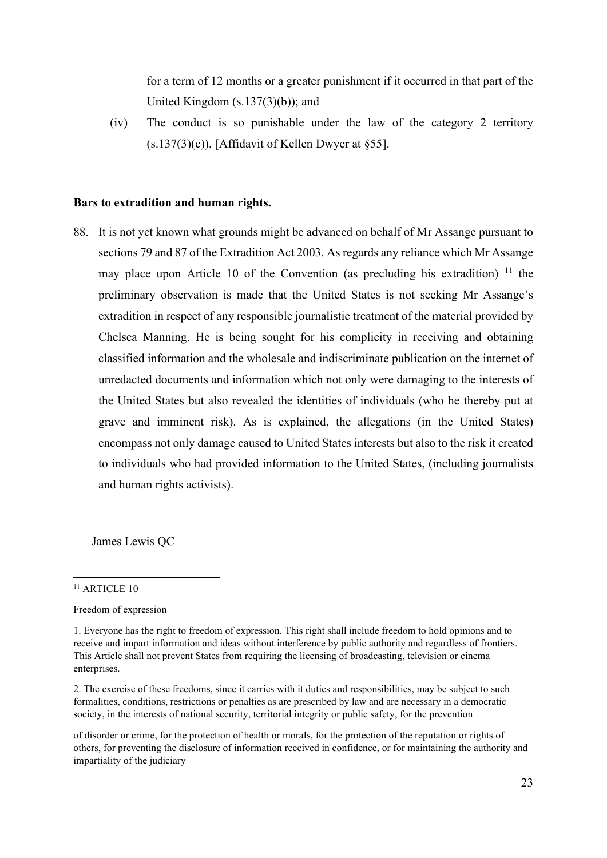for a term of 12 months or a greater punishment if it occurred in that part of the United Kingdom (s.137(3)(b)); and

(iv) The conduct is so punishable under the law of the category 2 territory (s.137(3)(c)). [Affidavit of Kellen Dwyer at §55].

#### **Bars to extradition and human rights.**

88. It is not yet known what grounds might be advanced on behalf of Mr Assange pursuant to sections 79 and 87 of the Extradition Act 2003. As regards any reliance which Mr Assange may place upon Article 10 of the Convention (as precluding his extradition)  $\frac{11}{1}$  $\frac{11}{1}$  $\frac{11}{1}$  the preliminary observation is made that the United States is not seeking Mr Assange's extradition in respect of any responsible journalistic treatment of the material provided by Chelsea Manning. He is being sought for his complicity in receiving and obtaining classified information and the wholesale and indiscriminate publication on the internet of unredacted documents and information which not only were damaging to the interests of the United States but also revealed the identities of individuals (who he thereby put at grave and imminent risk). As is explained, the allegations (in the United States) encompass not only damage caused to United States interests but also to the risk it created to individuals who had provided information to the United States, (including journalists and human rights activists).

James Lewis QC

2. The exercise of these freedoms, since it carries with it duties and responsibilities, may be subject to such formalities, conditions, restrictions or penalties as are prescribed by law and are necessary in a democratic society, in the interests of national security, territorial integrity or public safety, for the prevention

<span id="page-22-0"></span> $11$  ARTICLE 10

Freedom of expression

<sup>1.</sup> Everyone has the right to freedom of expression. This right shall include freedom to hold opinions and to receive and impart information and ideas without interference by public authority and regardless of frontiers. This Article shall not prevent States from requiring the licensing of broadcasting, television or cinema enterprises.

of disorder or crime, for the protection of health or morals, for the protection of the reputation or rights of others, for preventing the disclosure of information received in confidence, or for maintaining the authority and impartiality of the judiciary